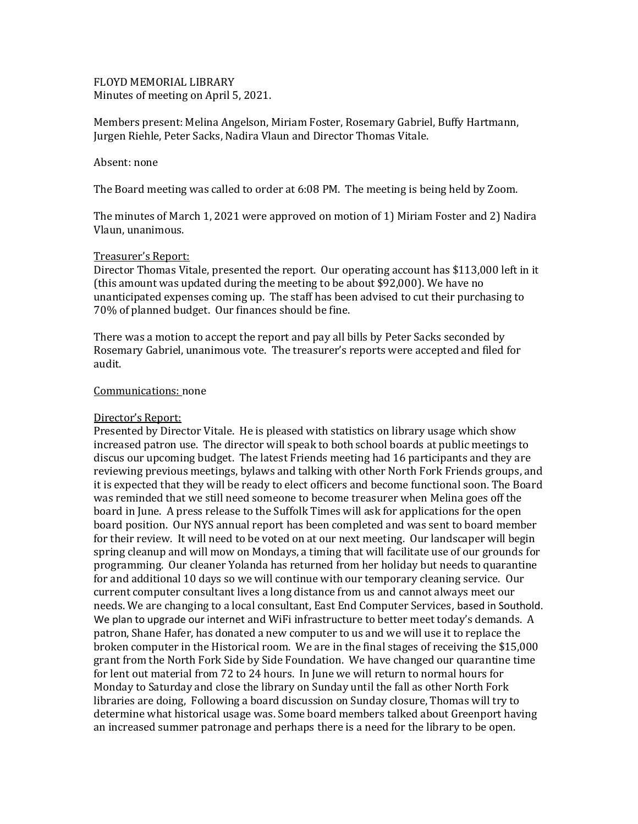## FLOYD MEMORIAL LIBRARY Minutes of meeting on April 5, 2021.

Members present: Melina Angelson, Miriam Foster, Rosemary Gabriel, Buffy Hartmann, Jurgen Riehle, Peter Sacks, Nadira Vlaun and Director Thomas Vitale.

#### Absent: none

The Board meeting was called to order at 6:08 PM. The meeting is being held by Zoom.

The minutes of March 1, 2021 were approved on motion of 1) Miriam Foster and 2) Nadira Vlaun, unanimous.

### Treasurer's Report:

Director Thomas Vitale, presented the report. Our operating account has \$113,000 left in it (this amount was updated during the meeting to be about \$92,000). We have no unanticipated expenses coming up. The staff has been advised to cut their purchasing to 70% of planned budget. Our finances should be fine.

There was a motion to accept the report and pay all bills by Peter Sacks seconded by Rosemary Gabriel, unanimous vote. The treasurer's reports were accepted and filed for audit.

### Communications: none

## Director's Report:

Presented by Director Vitale. He is pleased with statistics on library usage which show increased patron use. The director will speak to both school boards at public meetings to discus our upcoming budget. The latest Friends meeting had 16 participants and they are reviewing previous meetings, bylaws and talking with other North Fork Friends groups, and it is expected that they will be ready to elect officers and become functional soon. The Board was reminded that we still need someone to become treasurer when Melina goes off the board in June. A press release to the Suffolk Times will ask for applications for the open board position. Our NYS annual report has been completed and was sent to board member for their review. It will need to be voted on at our next meeting. Our landscaper will begin spring cleanup and will mow on Mondays, a timing that will facilitate use of our grounds for programming. Our cleaner Yolanda has returned from her holiday but needs to quarantine for and additional 10 days so we will continue with our temporary cleaning service. Our current computer consultant lives a long distance from us and cannot always meet our needs. We are changing to a local consultant, East End Computer Services, based in Southold. We plan to upgrade our internet and WiFi infrastructure to better meet today's demands. A patron, Shane Hafer, has donated a new computer to us and we will use it to replace the broken computer in the Historical room. We are in the final stages of receiving the \$15,000 grant from the North Fork Side by Side Foundation. We have changed our quarantine time for lent out material from 72 to 24 hours. In June we will return to normal hours for Monday to Saturday and close the library on Sunday until the fall as other North Fork libraries are doing, Following a board discussion on Sunday closure, Thomas will try to determine what historical usage was. Some board members talked about Greenport having an increased summer patronage and perhaps there is a need for the library to be open.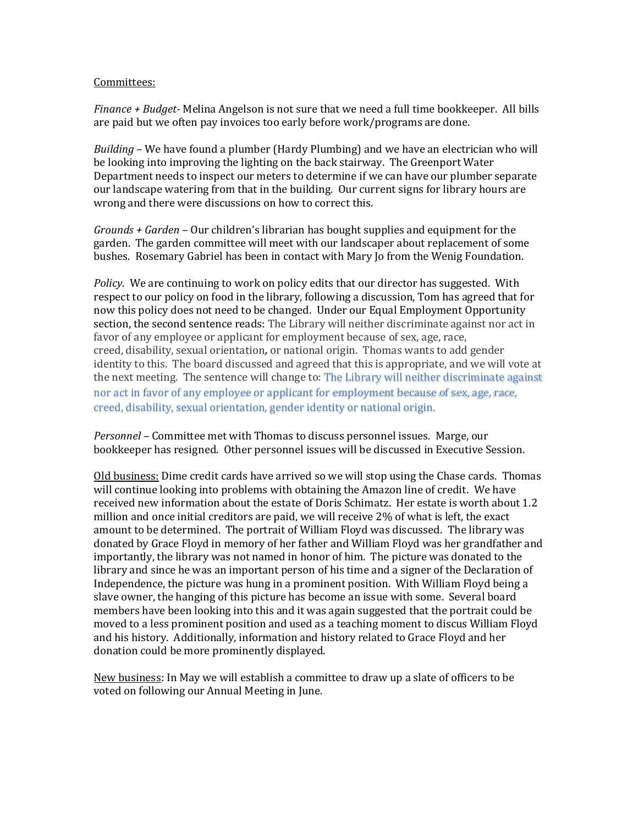#### Committees:

*Finance + Budget-* Melina Angelson is not sure that we need a full time bookkeeper. All bills are paid but we often pay invoices too early before work/programs are done.

*Building* – We have found a plumber (Hardy Plumbing) and we have an electrician who will be looking into improving the lighting on the back stairway. The Greenport Water Department needs to inspect our meters to determine if we can have our plumber separate our landscape watering from that in the building. Our current signs for library hours are wrong and there were discussions on how to correct this.

*Grounds + Garden –* Our children's librarian has bought supplies and equipment for the garden. The garden committee will meet with our landscaper about replacement of some bushes. Rosemary Gabriel has been in contact with Mary Jo from the Wenig Foundation.

*Policy*. We are continuing to work on policy edits that our director has suggested. With respect to our policy on food in the library, following a discussion, Tom has agreed that for now this policy does not need to be changed. Under our Equal Employment Opportunity section, the second sentence reads: The Library will neither discriminate against nor act in favor of any employee or applicant for employment because of sex, age, race, creed, disability, sexual orientation*,* or national origin. Thomas wants to add gender identity to this. The board discussed and agreed that this is appropriate, and we will vote at the next meeting. The sentence will change to: The Library will neither discriminate against nor act in favor of any employee or applicant for employment because of sex, age, race, creed, disability, sexual orientation*,* gender identity or national origin.

*Personnel –* Committee met with Thomas to discuss personnel issues. Marge, our bookkeeper has resigned. Other personnel issues will be discussed in Executive Session.

Old business: Dime credit cards have arrived so we will stop using the Chase cards. Thomas will continue looking into problems with obtaining the Amazon line of credit. We have received new information about the estate of Doris Schimatz. Her estate is worth about 1.2 million and once initial creditors are paid, we will receive 2% of what is left, the exact amount to be determined. The portrait of William Floyd was discussed. The library was donated by Grace Floyd in memory of her father and William Floyd was her grandfather and importantly, the library was not named in honor of him. The picture was donated to the library and since he was an important person of his time and a signer of the Declaration of Independence, the picture was hung in a prominent position. With William Floyd being a slave owner, the hanging of this picture has become an issue with some. Several board members have been looking into this and it was again suggested that the portrait could be moved to a less prominent position and used as a teaching moment to discus William Floyd and his history. Additionally, information and history related to Grace Floyd and her donation could be more prominently displayed.

New business: In May we will establish a committee to draw up a slate of officers to be voted on following our Annual Meeting in June.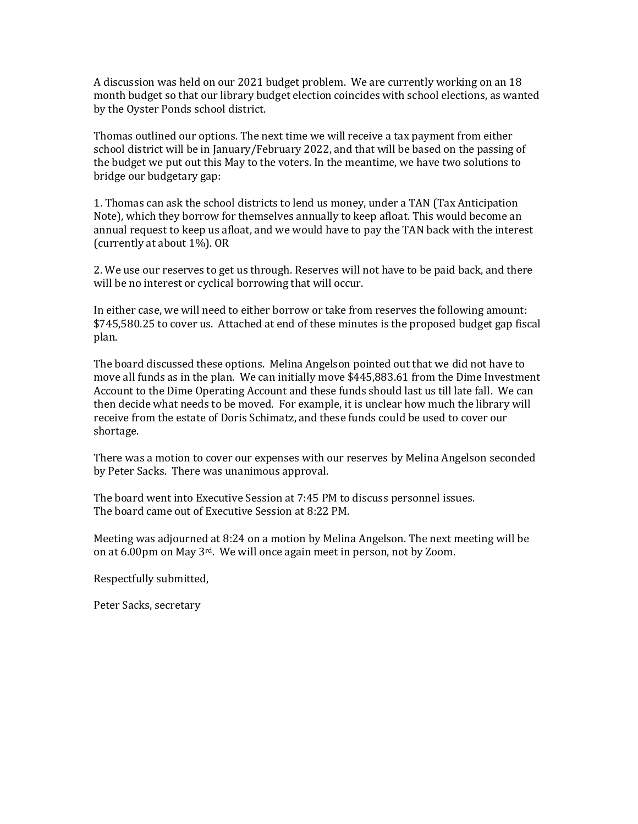A discussion was held on our 2021 budget problem. We are currently working on an 18 month budget so that our library budget election coincides with school elections, as wanted by the Oyster Ponds school district.

Thomas outlined our options. The next time we will receive a tax payment from either school district will be in January/February 2022, and that will be based on the passing of the budget we put out this May to the voters. In the meantime, we have two solutions to bridge our budgetary gap:

1. Thomas can ask the school districts to lend us money, under a TAN (Tax Anticipation Note), which they borrow for themselves annually to keep afloat. This would become an annual request to keep us afloat, and we would have to pay the TAN back with the interest (currently at about 1%). OR

2. We use our reserves to get us through. Reserves will not have to be paid back, and there will be no interest or cyclical borrowing that will occur.

In either case, we will need to either borrow or take from reserves the following amount: \$745,580.25 to cover us. Attached at end of these minutes is the proposed budget gap fiscal plan.

The board discussed these options. Melina Angelson pointed out that we did not have to move all funds as in the plan. We can initially move \$445,883.61 from the Dime Investment Account to the Dime Operating Account and these funds should last us till late fall. We can then decide what needs to be moved. For example, it is unclear how much the library will receive from the estate of Doris Schimatz, and these funds could be used to cover our shortage.

There was a motion to cover our expenses with our reserves by Melina Angelson seconded by Peter Sacks. There was unanimous approval.

The board went into Executive Session at 7:45 PM to discuss personnel issues. The board came out of Executive Session at 8:22 PM.

Meeting was adjourned at 8:24 on a motion by Melina Angelson. The next meeting will be on at 6.00pm on May 3rd. We will once again meet in person, not by Zoom.

Respectfully submitted,

Peter Sacks, secretary